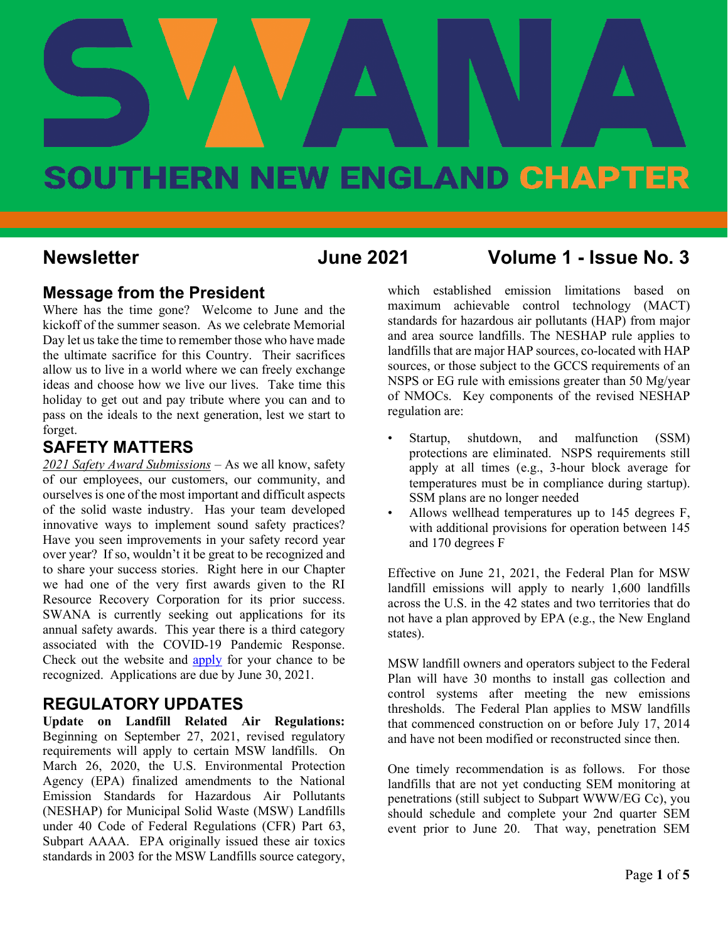# **June 2021 Vol. 1 - Issue No.3**

# **SOUTHERN NEW ENGLAND CHAPTER**

# **Newsletter June 2021 Volume 1 - Issue No. 3**

# **Message from the President**

Where has the time gone? Welcome to June and the kickoff of the summer season. As we celebrate Memorial Day let us take the time to remember those who have made the ultimate sacrifice for this Country. Their sacrifices allow us to live in a world where we can freely exchange ideas and choose how we live our lives. Take time this holiday to get out and pay tribute where you can and to pass on the ideals to the next generation, lest we start to forget.

# **SAFETY MATTERS**

*2021 Safety Award Submissions* – As we all know, safety of our employees, our customers, our community, and ourselves is one of the most important and difficult aspects of the solid waste industry. Has your team developed innovative ways to implement sound safety practices? Have you seen improvements in your safety record year over year? If so, wouldn't it be great to be recognized and to share your success stories. Right here in our Chapter we had one of the very first awards given to the RI Resource Recovery Corporation for its prior success. SWANA is currently seeking out applications for its annual safety awards. This year there is a third category associated with the COVID-19 Pandemic Response. Check out the website and **apply** for your chance to be recognized. Applications are due by June 30, 2021.

# **REGULATORY UPDATES**

**Update on Landfill Related Air Regulations:**  Beginning on September 27, 2021, revised regulatory requirements will apply to certain MSW landfills. On March 26, 2020, the U.S. Environmental Protection Agency (EPA) finalized amendments to the National Emission Standards for Hazardous Air Pollutants (NESHAP) for Municipal Solid Waste (MSW) Landfills under 40 Code of Federal Regulations (CFR) Part 63, Subpart AAAA. EPA originally issued these air toxics standards in 2003 for the MSW Landfills source category,

which established emission limitations based on maximum achievable control technology (MACT) standards for hazardous air pollutants (HAP) from major and area source landfills. The NESHAP rule applies to landfills that are major HAP sources, co-located with HAP sources, or those subject to the GCCS requirements of an NSPS or EG rule with emissions greater than 50 Mg/year of NMOCs. Key components of the revised NESHAP regulation are:

- Startup, shutdown, and malfunction (SSM) protections are eliminated. NSPS requirements still apply at all times (e.g., 3-hour block average for temperatures must be in compliance during startup). SSM plans are no longer needed
- Allows wellhead temperatures up to 145 degrees F, with additional provisions for operation between 145 and 170 degrees F

Effective on June 21, 2021, the Federal Plan for MSW landfill emissions will apply to nearly 1,600 landfills across the U.S. in the 42 states and two territories that do not have a plan approved by EPA (e.g., the New England states).

MSW landfill owners and operators subject to the Federal Plan will have 30 months to install gas collection and control systems after meeting the new emissions thresholds. The Federal Plan applies to MSW landfills that commenced construction on or before July 17, 2014 and have not been modified or reconstructed since then.

One timely recommendation is as follows. For those landfills that are not yet conducting SEM monitoring at penetrations (still subject to Subpart WWW/EG Cc), you should schedule and complete your 2nd quarter SEM event prior to June 20. That way, penetration SEM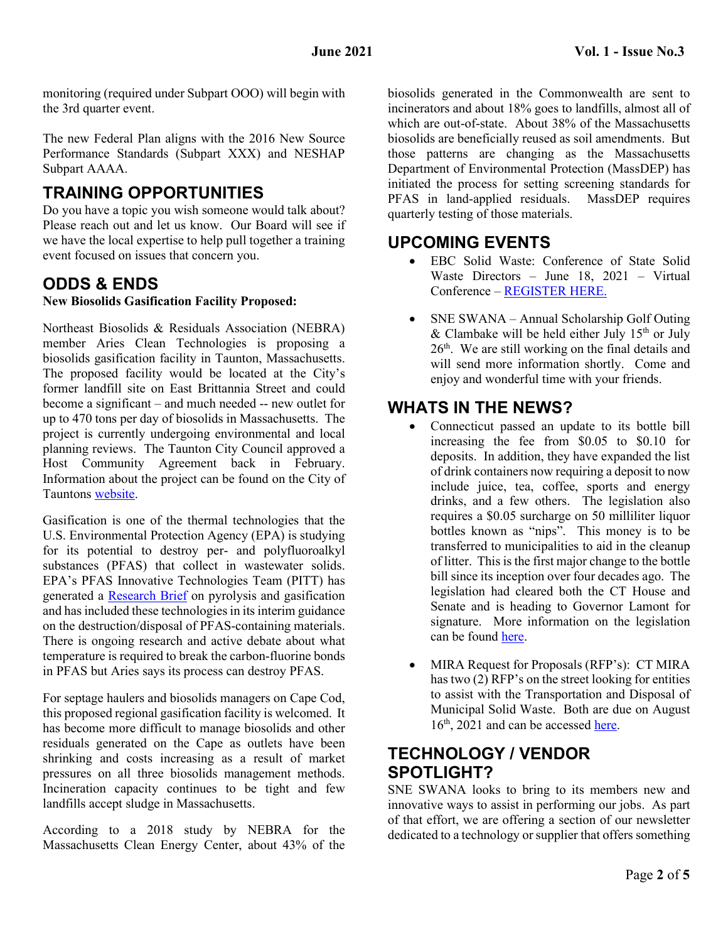monitoring (required under Subpart OOO) will begin with the 3rd quarter event.

The new Federal Plan aligns with the 2016 New Source Performance Standards (Subpart XXX) and NESHAP Subpart AAAA.

# **TRAINING OPPORTUNITIES**

Do you have a topic you wish someone would talk about? Please reach out and let us know. Our Board will see if we have the local expertise to help pull together a training event focused on issues that concern you.

# **ODDS & ENDS**

## **New Biosolids Gasification Facility Proposed:**

Northeast Biosolids & Residuals Association (NEBRA) member Aries Clean Technologies is proposing a biosolids gasification facility in Taunton, Massachusetts. The proposed facility would be located at the City's former landfill site on East Brittannia Street and could become a significant – and much needed -- new outlet for up to 470 tons per day of biosolids in Massachusetts. The project is currently undergoing environmental and local planning reviews. The Taunton City Council approved a Host Community Agreement back in February. Information about the project can be found on the City of Tauntons [website.](https://www.taunton-ma.gov/department-public-works/solid-waste-and-recycling/pages/aries-taunton-biosolids-gasification-project)

Gasification is one of the thermal technologies that the U.S. Environmental Protection Agency (EPA) is studying for its potential to destroy per- and polyfluoroalkyl substances (PFAS) that collect in wastewater solids. EPA's PFAS Innovative Technologies Team (PITT) has generated a [Research Brief](https://www.epa.gov/chemical-research/research-brief-potential-pfas-destruction-technology-pyrolysis-and-gasification) on pyrolysis and gasification and has included these technologies in its interim guidance on the destruction/disposal of PFAS-containing materials. There is ongoing research and active debate about what temperature is required to break the carbon-fluorine bonds in PFAS but Aries says its process can destroy PFAS.

For septage haulers and biosolids managers on Cape Cod, this proposed regional gasification facility is welcomed. It has become more difficult to manage biosolids and other residuals generated on the Cape as outlets have been shrinking and costs increasing as a result of market pressures on all three biosolids management methods. Incineration capacity continues to be tight and few landfills accept sludge in Massachusetts.

According to a 2018 study by NEBRA for the Massachusetts Clean Energy Center, about 43% of the

biosolids generated in the Commonwealth are sent to incinerators and about 18% goes to landfills, almost all of which are out-of-state. About 38% of the Massachusetts biosolids are beneficially reused as soil amendments. But those patterns are changing as the Massachusetts Department of Environmental Protection (MassDEP) has initiated the process for setting screening standards for PFAS in land-applied residuals. MassDEP requires quarterly testing of those materials.

# **UPCOMING EVENTS**

- EBC Solid Waste: Conference of State Solid Waste Directors – June 18, 2021 – Virtual Conference – [REGISTER HERE.](https://ebcne.org/event/ebc-solid-waste-leadership-webinar-conference-of-state-solid-waste-directors/?instance_id=)
- SNE SWANA Annual Scholarship Golf Outing & Clambake will be held either July  $15<sup>th</sup>$  or July  $26<sup>th</sup>$ . We are still working on the final details and will send more information shortly. Come and enjoy and wonderful time with your friends.

# **WHATS IN THE NEWS?**

- Connecticut passed an update to its bottle bill increasing the fee from \$0.05 to \$0.10 for deposits. In addition, they have expanded the list of drink containers now requiring a deposit to now include juice, tea, coffee, sports and energy drinks, and a few others. The legislation also requires a \$0.05 surcharge on 50 milliliter liquor bottles known as "nips". This money is to be transferred to municipalities to aid in the cleanup of litter. This is the first major change to the bottle bill since its inception over four decades ago. The legislation had cleared both the CT House and Senate and is heading to Governor Lamont for signature. More information on the legislation can be found [here.](https://ctnewsjunkie.com/2021/06/03/bipartisan-bottle-bill-update-heads-to-gov/)
- MIRA Request for Proposals (RFP's): CT MIRA has two (2) RFP's on the street looking for entities to assist with the Transportation and Disposal of Municipal Solid Waste. Both are due on August 16<sup>th</sup>, 2021 and can be accessed [here.](https://www.ctmira.org/business-links/current-bids-rfp-rfq/)

# **TECHNOLOGY / VENDOR SPOTLIGHT?**

SNE SWANA looks to bring to its members new and innovative ways to assist in performing our jobs. As part of that effort, we are offering a section of our newsletter dedicated to a technology or supplier that offers something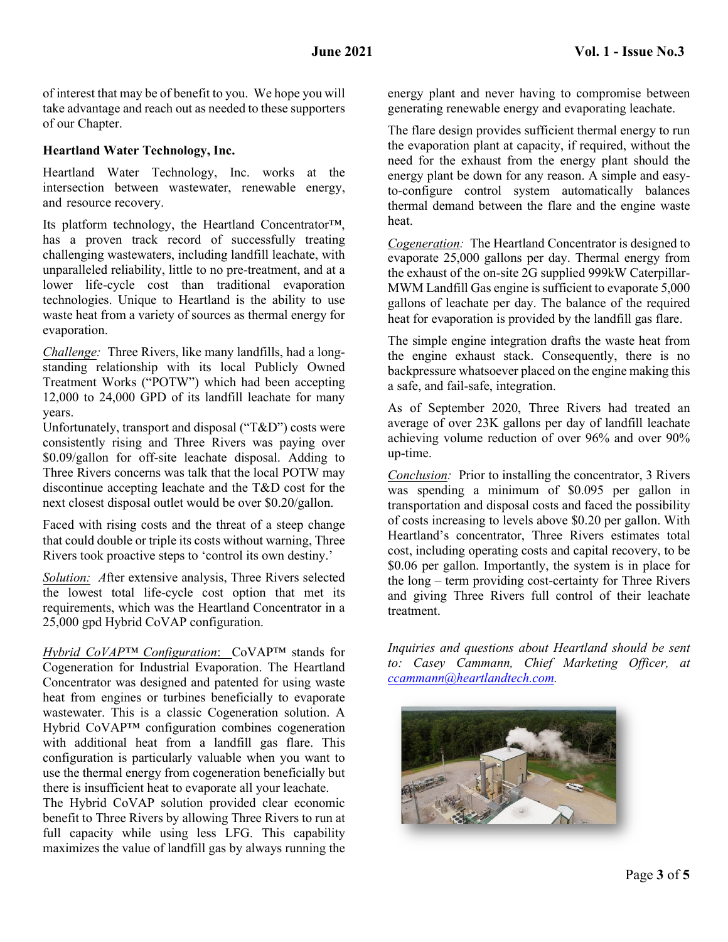of interest that may be of benefit to you. We hope you will take advantage and reach out as needed to these supporters of our Chapter.

### **Heartland Water Technology, Inc.**

Heartland Water Technology, Inc. works at the intersection between wastewater, renewable energy, and resource recovery.

Its platform technology, the Heartland Concentrator™, has a proven track record of successfully treating challenging wastewaters, including landfill leachate, with unparalleled reliability, little to no pre-treatment, and at a lower life-cycle cost than traditional evaporation technologies. Unique to Heartland is the ability to use waste heat from a variety of sources as thermal energy for evaporation.

*Challenge:* Three Rivers, like many landfills, had a longstanding relationship with its local Publicly Owned Treatment Works ("POTW") which had been accepting 12,000 to 24,000 GPD of its landfill leachate for many years.

Unfortunately, transport and disposal ("T&D") costs were consistently rising and Three Rivers was paying over \$0.09/gallon for off-site leachate disposal. Adding to Three Rivers concerns was talk that the local POTW may discontinue accepting leachate and the T&D cost for the next closest disposal outlet would be over \$0.20/gallon.

Faced with rising costs and the threat of a steep change that could double or triple its costs without warning, Three Rivers took proactive steps to 'control its own destiny.'

*Solution: A*fter extensive analysis, Three Rivers selected the lowest total life-cycle cost option that met its requirements, which was the Heartland Concentrator in a 25,000 gpd Hybrid CoVAP configuration.

*Hybrid CoVAP™ Configuration*: CoVAP™ stands for Cogeneration for Industrial Evaporation. The Heartland Concentrator was designed and patented for using waste heat from engines or turbines beneficially to evaporate wastewater. This is a classic Cogeneration solution. A Hybrid CoVAP™ configuration combines cogeneration with additional heat from a landfill gas flare. This configuration is particularly valuable when you want to use the thermal energy from cogeneration beneficially but there is insufficient heat to evaporate all your leachate.

The Hybrid CoVAP solution provided clear economic benefit to Three Rivers by allowing Three Rivers to run at full capacity while using less LFG. This capability maximizes the value of landfill gas by always running the

energy plant and never having to compromise between generating renewable energy and evaporating leachate.

The flare design provides sufficient thermal energy to run the evaporation plant at capacity, if required, without the need for the exhaust from the energy plant should the energy plant be down for any reason. A simple and easyto-configure control system automatically balances thermal demand between the flare and the engine waste heat.

*Cogeneration:* The Heartland Concentrator is designed to evaporate 25,000 gallons per day. Thermal energy from the exhaust of the on-site 2G supplied 999kW Caterpillar-MWM Landfill Gas engine is sufficient to evaporate 5,000 gallons of leachate per day. The balance of the required heat for evaporation is provided by the landfill gas flare.

The simple engine integration drafts the waste heat from the engine exhaust stack. Consequently, there is no backpressure whatsoever placed on the engine making this a safe, and fail-safe, integration.

As of September 2020, Three Rivers had treated an average of over 23K gallons per day of landfill leachate achieving volume reduction of over 96% and over 90% up-time.

*Conclusion:* Prior to installing the concentrator, 3 Rivers was spending a minimum of \$0.095 per gallon in transportation and disposal costs and faced the possibility of costs increasing to levels above \$0.20 per gallon. With Heartland's concentrator, Three Rivers estimates total cost, including operating costs and capital recovery, to be \$0.06 per gallon. Importantly, the system is in place for the long – term providing cost-certainty for Three Rivers and giving Three Rivers full control of their leachate treatment.

*Inquiries and questions about Heartland should be sent to: Casey Cammann, Chief Marketing Officer, at [ccammann@heartlandtech.com.](mailto:ccammann@heartlandtech.com)* 

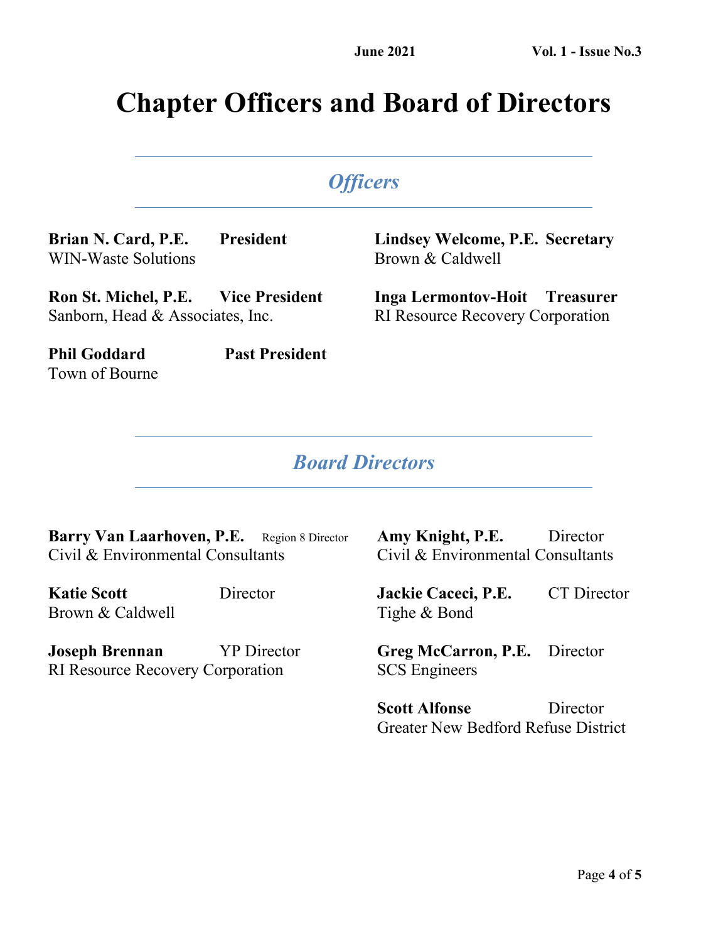# **Chapter Officers and Board of Directors**

# *Officers*

**Brian N. Card, P.E. President** WIN-Waste Solutions

**Lindsey Welcome, P.E. Secretary** Brown & Caldwell

**Ron St. Michel, P.E. Vice President** Sanborn, Head & Associates, Inc.

**Phil Goddard Past President**

**Inga Lermontov-Hoit Treasurer** RI Resource Recovery Corporation

# *Board Directors*

Barry Van Laarhoven, P.E. Region 8 Director Civil & Environmental Consultants

**Katie Scott** Director Brown & Caldwell

Town of Bourne

**Joseph Brennan** YP Director RI Resource Recovery Corporation

**Amy Knight, P.E.** Director Civil & Environmental Consultants

**Jackie Caceci, P.E.** CT Director Tighe & Bond

**Greg McCarron, P.E.** Director SCS Engineers

**Scott Alfonse** Director Greater New Bedford Refuse District